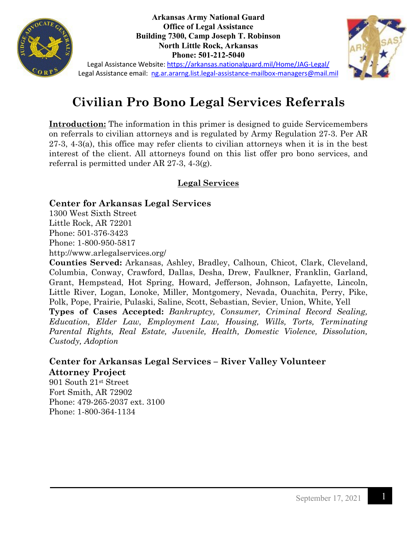

**Arkansas Army National Guard Office of Legal Assistance Building 7300, Camp Joseph T. Robinson North Little Rock, Arkansas Phone: 501-212-5040**



Legal Assistance Website:<https://arkansas.nationalguard.mil/Home/JAG-Legal/> Legal Assistance email: [ng.ar.ararng.list.legal-assistance-mailbox-managers@mail.mil](mailto:ng.ar.ararng.list.legal-assistance-mailbox-managers@mail.mil)

# **Civilian Pro Bono Legal Services Referrals**

**Introduction:** The information in this primer is designed to guide Servicemembers on referrals to civilian attorneys and is regulated by Army Regulation 27-3. Per AR 27-3, 4-3(a), this office may refer clients to civilian attorneys when it is in the best interest of the client. All attorneys found on this list offer pro bono services, and referral is permitted under AR 27-3, 4-3(g).

## **Legal Services**

#### **Center for Arkansas Legal Services**

1300 West Sixth Street Little Rock, AR 72201 Phone: 501-376-3423 Phone: 1-800-950-5817

http://www.arlegalservices.org/

**Counties Served:** Arkansas, Ashley, Bradley, Calhoun, Chicot, Clark, Cleveland, Columbia, Conway, Crawford, Dallas, Desha, Drew, Faulkner, Franklin, Garland, Grant, Hempstead, Hot Spring, Howard, Jefferson, Johnson, Lafayette, Lincoln, Little River, Logan, Lonoke, Miller, Montgomery, Nevada, Ouachita, Perry, Pike, Polk, Pope, Prairie, Pulaski, Saline, Scott, Sebastian, Sevier, Union, White, Yell

**Types of Cases Accepted:** *Bankruptcy, Consumer, Criminal Record Sealing, Education, Elder Law, Employment Law, Housing, Wills, Torts, Terminating Parental Rights, Real Estate, Juvenile, Health, Domestic Violence, Dissolution, Custody, Adoption*

## **Center for Arkansas Legal Services – River Valley Volunteer Attorney Project**

901 South 21st Street Fort Smith, AR 72902 Phone: 479-265-2037 ext. 3100 Phone: 1-800-364-1134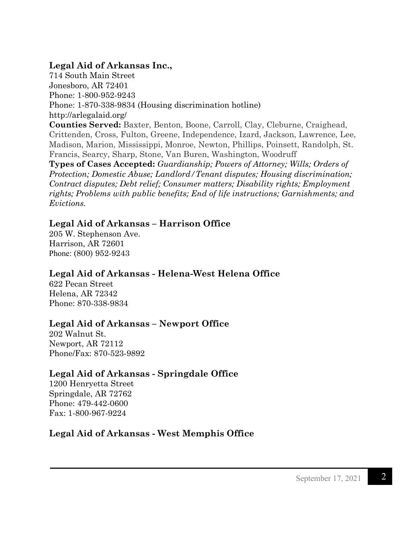#### **Legal Aid of Arkansas Inc.,**

714 South Main Street Jonesboro, AR 72401 Phone: 1-800-952-9243 Phone: 1-870-338-9834 (Housing discrimination hotline) http://arlegalaid.org/ **Counties Served:** Baxter, Benton, Boone, Carroll, Clay, Cleburne, Craighead, Crittenden, Cross, Fulton, Greene, Independence, Izard, Jackson, Lawrence, Lee, Madison, Marion, Mississippi, Monroe, Newton, Phillips, Poinsett, Randolph, St. Francis, Searcy, Sharp, Stone, Van Buren, Washington, Woodruff **Types of Cases Accepted:** *Guardianship; Powers of Attorney; Wills; Orders of Protection; Domestic Abuse; Landlord/Tenant disputes; Housing discrimination; Contract disputes; Debt relief; Consumer matters; Disability rights; Employment rights; Problems with public benefits; End of life instructions; Garnishments; and Evictions.*

#### **Legal Aid of Arkansas – Harrison Office**

205 W. Stephenson Ave. Harrison, AR 72601 Phone: [\(800\) 952-9243](https://www.google.com/search?q=legal+aid+of+arkansas+harrison+office&rlz=1C5CHFA_enUS773US773&oq=legal+aid+of+arkansas+harrison+office&aqs=chrome..69i57.6629j0j7&sourceid=chrome&ie=UTF-8)

## **Legal Aid of Arkansas - Helena-West Helena Office**

622 Pecan Street Helena, AR 72342 Phone: 870-338-9834

## **Legal Aid of Arkansas – Newport Office**

202 Walnut St. Newport, AR 72112 Phone/Fax: 870-523-9892

## **Legal Aid of Arkansas - Springdale Office**

1200 Henryetta Street Springdale, AR 72762 Phone: 479-442-0600 Fax: 1-800-967-9224

## **Legal Aid of Arkansas - West Memphis Office**